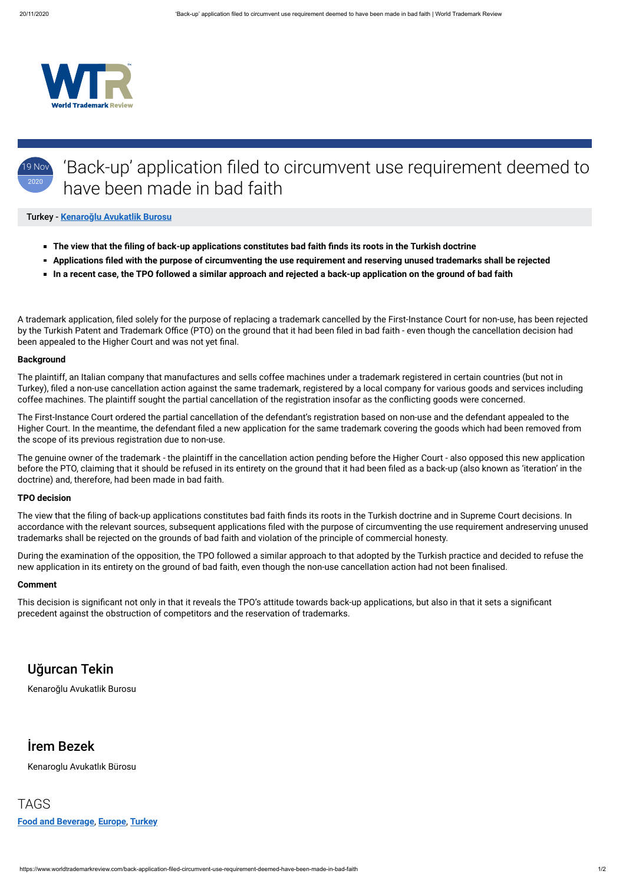

https://www.worldtrademarkreview.com/back-application-filed-circumvent-use-requirement-deemed-have-been-made-in-bad-faith 1/2

### 19 Nov 2020 'Back-up' application filed to circumvent use requirement deemed to have been made in bad faith

- **The view that the filing of back-up applications constitutes bad faith finds its roots in the Turkish doctrine**
- **Applications filed with the purpose of circumventing the use requirement and reserving unused trademarks shall be rejected**
- **In a recent case, the TPO followed a similar approach and rejected a back-up application on the ground of bad faith**

A trademark application, filed solely for the purpose of replacing a trademark cancelled by the First-Instance Court for non-use, has been rejected by the Turkish Patent and Trademark Office (PTO) on the ground that it had been filed in bad faith - even though the cancellation decision had been appealed to the Higher Court and was not yet final.

### Turkey - **Kenaroğ[lu Avukatlik Burosu](https://www.worldtrademarkreview.com/Daily/Contributors#)**

The plaintiff, an Italian company that manufactures and sells coffee machines under a trademark registered in certain countries (but not in Turkey), filed a non-use cancellation action against the same trademark, registered by a local company for various goods and services including coffee machines. The plaintiff sought the partial cancellation of the registration insofar as the conflicting goods were concerned.

### **Background**

The view that the filing of back-up applications constitutes bad faith finds its roots in the Turkish doctrine and in Supreme Court decisions. In accordance with the relevant sources, subsequent applications filed with the purpose of circumventing the use requirement andreserving unused trademarks shall be rejected on the grounds of bad faith and violation of the principle of commercial honesty.

During the examination of the opposition, the TPO followed a similar approach to that adopted by the Turkish practice and decided to refuse the new application in its entirety on the ground of bad faith, even though the non-use cancellation action had not been finalised.

This decision is significant not only in that it reveals the TPO's attitude towards back-up applications, but also in that it sets a significant precedent against the obstruction of competitors and the reservation of trademarks.

The First-Instance Court ordered the partial cancellation of the defendant's registration based on non-use and the defendant appealed to the Higher Court. In the meantime, the defendant filed a new application for the same trademark covering the goods which had been removed from the scope of its previous registration due to non-use.

The genuine owner of the trademark - the plaintiff in the cancellation action pending before the Higher Court - also opposed this new application before the PTO, claiming that it should be refused in its entirety on the ground that it had been filed as a back-up (also known as 'iteration' in the doctrine) and, therefore, had been made in bad faith.

### **TPO decision**

#### **Comment**

# Uğurcan Tekin

Kenaroğlu Avukatlik Burosu

## İrem Bezek

Kenaroglu Avukatlık Bürosu

TAGS **[Food and Beverage](https://www.worldtrademarkreview.com/food-and-beverage)**, **[Europe](https://www.worldtrademarkreview.com/regions/europe)**, **[Turkey](https://www.worldtrademarkreview.com/regions/turkey)**